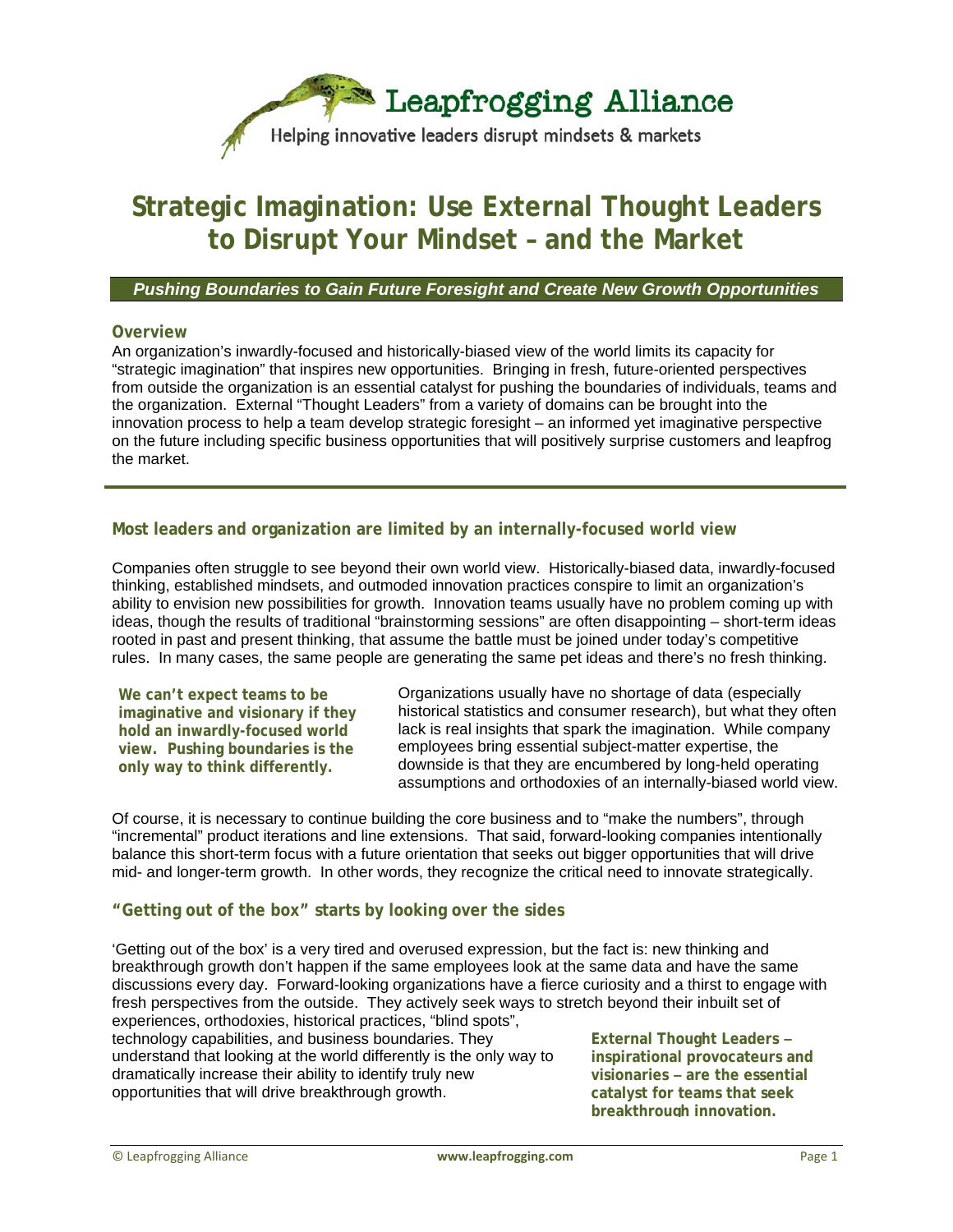

# **Strategic Imagination: Use External Thought Leaders to Disrupt Your Mindset – and the Market**

#### *Pushing Boundaries to Gain Future Foresight and Create New Growth Opportunities*

#### **Overview**

An organization's inwardly-focused and historically-biased view of the world limits its capacity for "strategic imagination" that inspires new opportunities. Bringing in fresh, future-oriented perspectives from outside the organization is an essential catalyst for pushing the boundaries of individuals, teams and the organization. External "Thought Leaders" from a variety of domains can be brought into the innovation process to help a team develop strategic foresight – an informed yet imaginative perspective on the future including specific business opportunities that will positively surprise customers and leapfrog the market.

## **Most leaders and organization are limited by an internally-focused world view**

Companies often struggle to see beyond their own world view. Historically-biased data, inwardly-focused thinking, established mindsets, and outmoded innovation practices conspire to limit an organization's ability to envision new possibilities for growth. Innovation teams usually have no problem coming up with ideas, though the results of traditional "brainstorming sessions" are often disappointing – short-term ideas rooted in past and present thinking, that assume the battle must be joined under today's competitive rules. In many cases, the same people are generating the same pet ideas and there's no fresh thinking.

**We can't expect teams to be imaginative and visionary if they hold an inwardly-focused world view. Pushing boundaries is the only way to think differently.** 

Organizations usually have no shortage of data (especially historical statistics and consumer research), but what they often lack is real insights that spark the imagination. While company employees bring essential subject-matter expertise, the downside is that they are encumbered by long-held operating assumptions and orthodoxies of an internally-biased world view.

Of course, it is necessary to continue building the core business and to "make the numbers", through "incremental" product iterations and line extensions. That said, forward-looking companies intentionally balance this short-term focus with a future orientation that seeks out bigger opportunities that will drive mid- and longer-term growth. In other words, they recognize the critical need to innovate strategically.

#### **"Getting out of the box" starts by looking over the sides**

'Getting out of the box' is a very tired and overused expression, but the fact is: new thinking and breakthrough growth don't happen if the same employees look at the same data and have the same discussions every day. Forward-looking organizations have a fierce curiosity and a thirst to engage with fresh perspectives from the outside. They actively seek ways to stretch beyond their inbuilt set of experiences, orthodoxies, historical practices, "blind spots", technology capabilities, and business boundaries. They

understand that looking at the world differently is the only way to dramatically increase their ability to identify truly new opportunities that will drive breakthrough growth.

**External Thought Leaders – inspirational provocateurs and visionaries – are the essential catalyst for teams that seek breakthrough innovation.**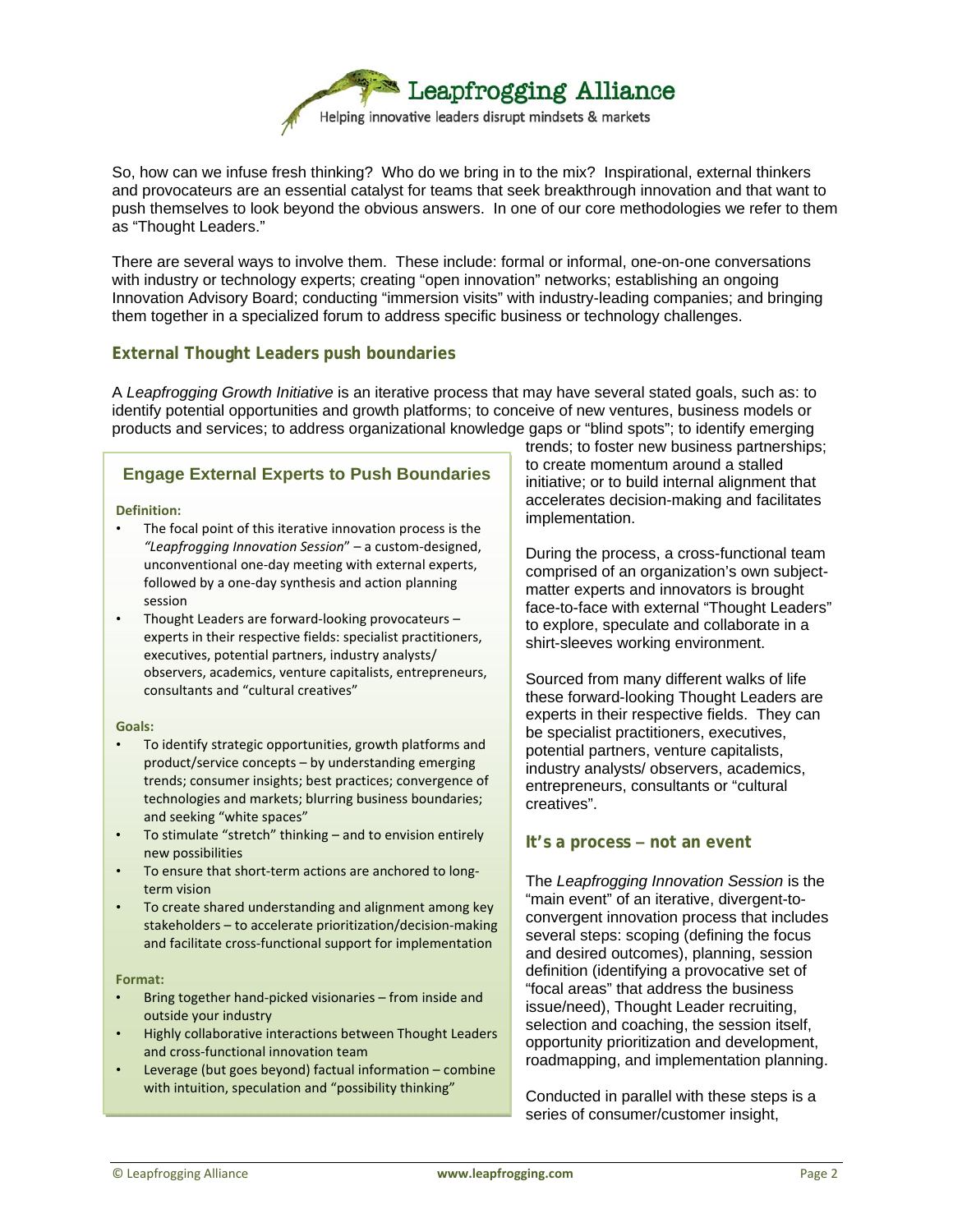

So, how can we infuse fresh thinking? Who do we bring in to the mix? Inspirational, external thinkers and provocateurs are an essential catalyst for teams that seek breakthrough innovation and that want to push themselves to look beyond the obvious answers. In one of our core methodologies we refer to them as "Thought Leaders."

There are several ways to involve them. These include: formal or informal, one-on-one conversations with industry or technology experts; creating "open innovation" networks; establishing an ongoing Innovation Advisory Board; conducting "immersion visits" with industry-leading companies; and bringing them together in a specialized forum to address specific business or technology challenges.

# **External Thought Leaders push boundaries**

A *Leapfrogging Growth Initiative* is an iterative process that may have several stated goals, such as: to identify potential opportunities and growth platforms; to conceive of new ventures, business models or products and services; to address organizational knowledge gaps or "blind spots"; to identify emerging

#### **Engage External Experts to Push Boundaries**

#### **Definition:**

- The focal point of this iterative innovation process is the *"Leapfrogging Innovation Session*" – a custom‐designed, unconventional one‐day meeting with external experts, followed by a one‐day synthesis and action planning session
- Thought Leaders are forward-looking provocateurs experts in their respective fields: specialist practitioners, executives, potential partners, industry analysts/ observers, academics, venture capitalists, entrepreneurs, consultants and "cultural creatives"

#### Goals:

- To identify strategic opportunities, growth platforms and product/service concepts – by understanding emerging trends; consumer insights; best practices; convergence of technologies and markets; blurring business boundaries; and seeking "white spaces"
- To stimulate "stretch" thinking and to envision entirely new possibilities
- To ensure that short‐term actions are anchored to long‐ term vision
- To create shared understanding and alignment among key stakeholders – to accelerate prioritization/decision‐making and facilitate cross‐functional support for implementation

#### **Format:**

- Bring together hand‐picked visionaries from inside and outside your industry
- Highly collaborative interactions between Thought Leaders and cross‐functional innovation team
- Leverage (but goes beyond) factual information combine with intuition, speculation and "possibility thinking"

trends; to foster new business partnerships; to create momentum around a stalled initiative; or to build internal alignment that accelerates decision-making and facilitates implementation.

During the process, a cross-functional team comprised of an organization's own subjectmatter experts and innovators is brought face-to-face with external "Thought Leaders" to explore, speculate and collaborate in a shirt-sleeves working environment.

Sourced from many different walks of life these forward-looking Thought Leaders are experts in their respective fields. They can be specialist practitioners, executives, potential partners, venture capitalists, industry analysts/ observers, academics, entrepreneurs, consultants or "cultural creatives".

#### **It's a process – not an event**

The *Leapfrogging Innovation Session* is the "main event" of an iterative, divergent-toconvergent innovation process that includes several steps: scoping (defining the focus and desired outcomes), planning, session definition (identifying a provocative set of "focal areas" that address the business issue/need), Thought Leader recruiting, selection and coaching, the session itself, opportunity prioritization and development, roadmapping, and implementation planning.

Conducted in parallel with these steps is a series of consumer/customer insight,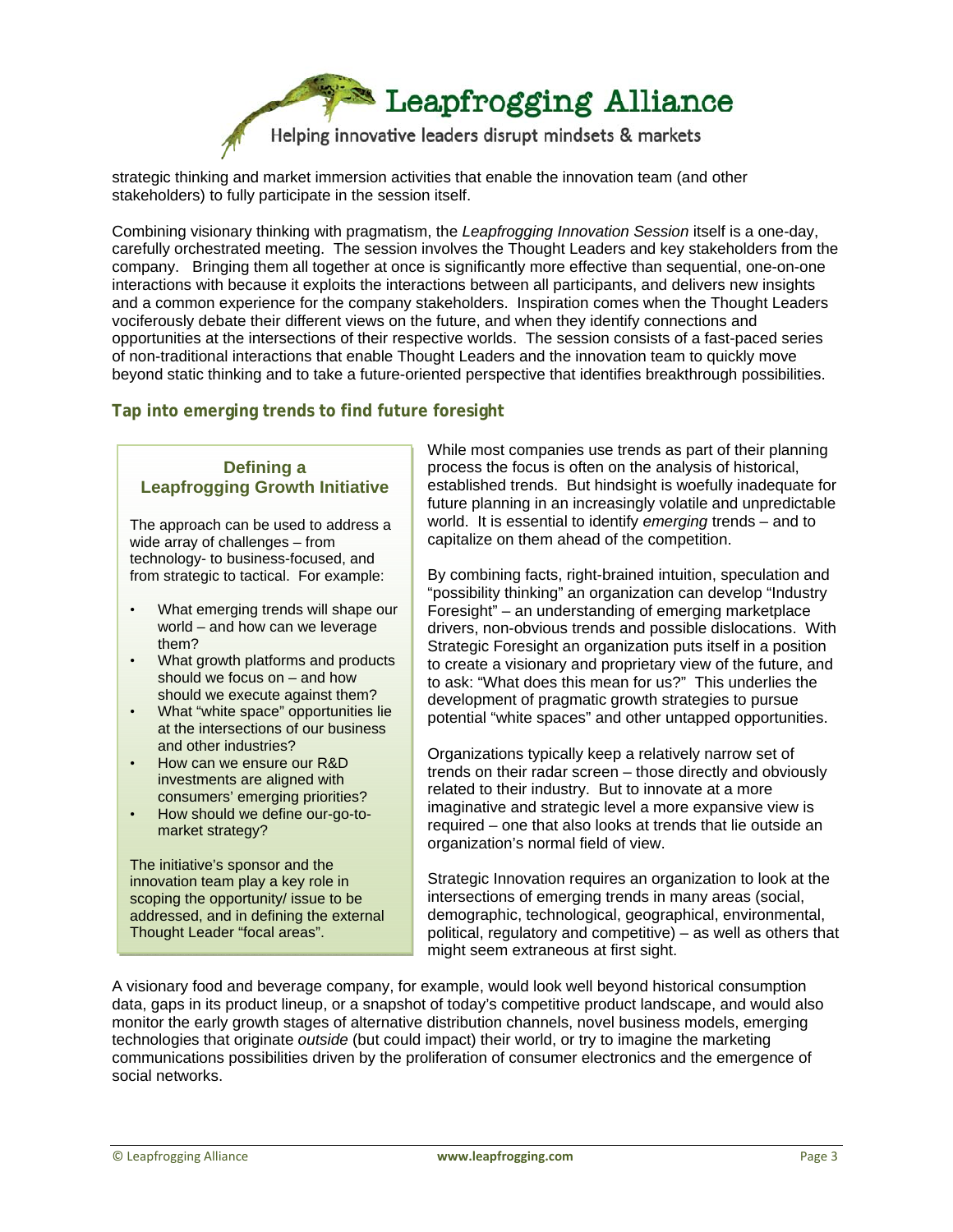Leapfrogging Alliance

Helping innovative leaders disrupt mindsets & markets

strategic thinking and market immersion activities that enable the innovation team (and other stakeholders) to fully participate in the session itself.

Combining visionary thinking with pragmatism, the *Leapfrogging Innovation Session* itself is a one-day, carefully orchestrated meeting. The session involves the Thought Leaders and key stakeholders from the company. Bringing them all together at once is significantly more effective than sequential, one-on-one interactions with because it exploits the interactions between all participants, and delivers new insights and a common experience for the company stakeholders. Inspiration comes when the Thought Leaders vociferously debate their different views on the future, and when they identify connections and opportunities at the intersections of their respective worlds. The session consists of a fast-paced series of non-traditional interactions that enable Thought Leaders and the innovation team to quickly move beyond static thinking and to take a future-oriented perspective that identifies breakthrough possibilities.

# **Tap into emerging trends to find future foresight**

#### **Defining a Leapfrogging Growth Initiative**

The approach can be used to address a wide array of challenges – from technology- to business-focused, and from strategic to tactical. For example:

- What emerging trends will shape our world – and how can we leverage them?
- What growth platforms and products should we focus on – and how should we execute against them?
- What "white space" opportunities lie at the intersections of our business and other industries?
- How can we ensure our R&D investments are aligned with consumers' emerging priorities?
- How should we define our-go-tomarket strategy?

The initiative's sponsor and the innovation team play a key role in scoping the opportunity/ issue to be addressed, and in defining the external Thought Leader "focal areas".

While most companies use trends as part of their planning process the focus is often on the analysis of historical, established trends. But hindsight is woefully inadequate for future planning in an increasingly volatile and unpredictable world. It is essential to identify *emerging* trends – and to capitalize on them ahead of the competition.

By combining facts, right-brained intuition, speculation and "possibility thinking" an organization can develop "Industry Foresight" – an understanding of emerging marketplace drivers, non-obvious trends and possible dislocations. With Strategic Foresight an organization puts itself in a position to create a visionary and proprietary view of the future, and to ask: "What does this mean for us?" This underlies the development of pragmatic growth strategies to pursue potential "white spaces" and other untapped opportunities.

Organizations typically keep a relatively narrow set of trends on their radar screen – those directly and obviously related to their industry. But to innovate at a more imaginative and strategic level a more expansive view is required – one that also looks at trends that lie outside an organization's normal field of view.

Strategic Innovation requires an organization to look at the intersections of emerging trends in many areas (social, demographic, technological, geographical, environmental, political, regulatory and competitive) – as well as others that might seem extraneous at first sight.

A visionary food and beverage company, for example, would look well beyond historical consumption data, gaps in its product lineup, or a snapshot of today's competitive product landscape, and would also monitor the early growth stages of alternative distribution channels, novel business models, emerging technologies that originate *outside* (but could impact) their world, or try to imagine the marketing communications possibilities driven by the proliferation of consumer electronics and the emergence of social networks.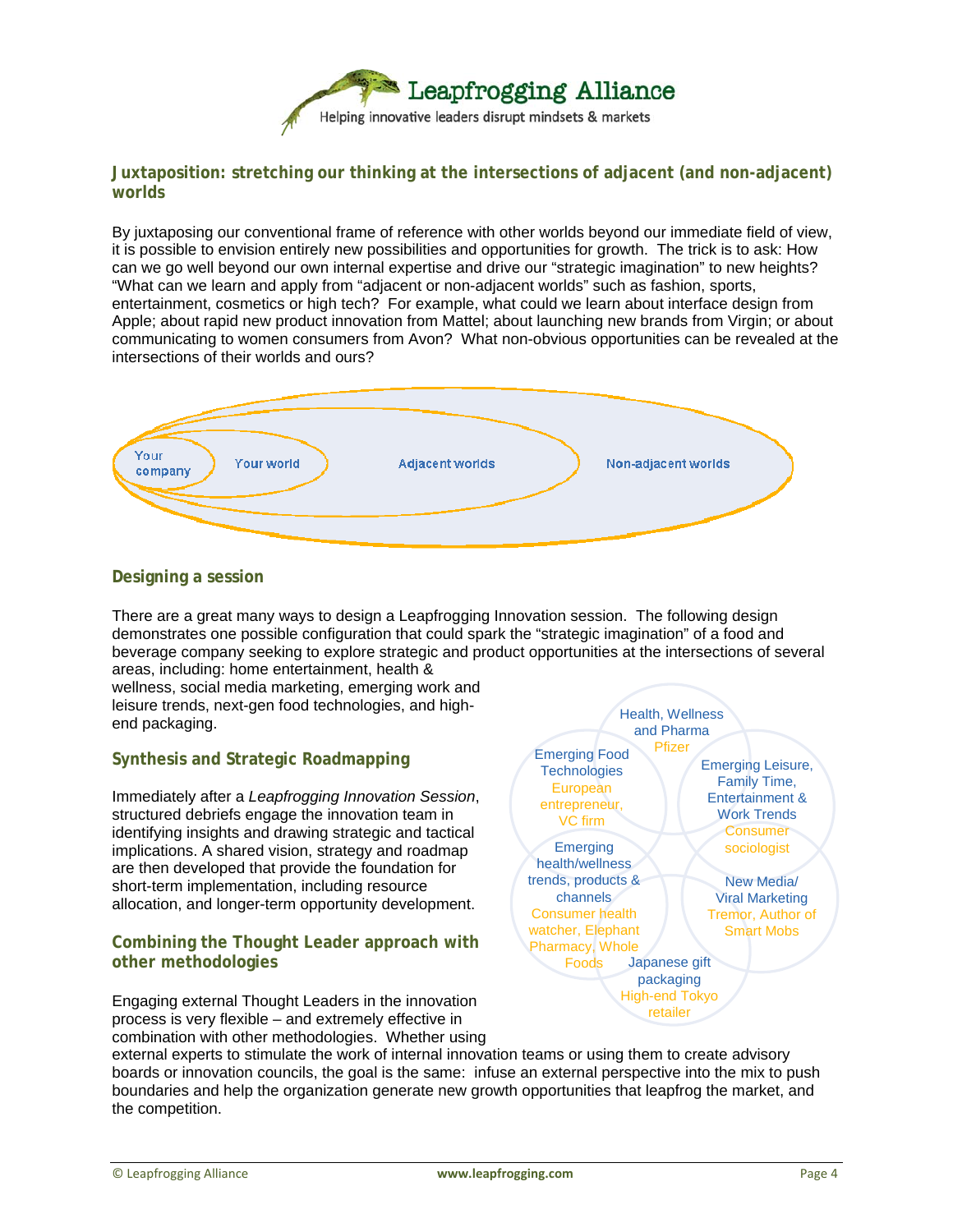

## **Juxtaposition: stretching our thinking at the intersections of adjacent (and non-adjacent) worlds**

By juxtaposing our conventional frame of reference with other worlds beyond our immediate field of view, it is possible to envision entirely new possibilities and opportunities for growth. The trick is to ask: How can we go well beyond our own internal expertise and drive our "strategic imagination" to new heights? "What can we learn and apply from "adjacent or non-adjacent worlds" such as fashion, sports, entertainment, cosmetics or high tech? For example, what could we learn about interface design from Apple; about rapid new product innovation from Mattel; about launching new brands from Virgin; or about communicating to women consumers from Avon? What non-obvious opportunities can be revealed at the intersections of their worlds and ours?



## **Designing a session**

There are a great many ways to design a Leapfrogging Innovation session. The following design demonstrates one possible configuration that could spark the "strategic imagination" of a food and beverage company seeking to explore strategic and product opportunities at the intersections of several

areas, including: home entertainment, health & wellness, social media marketing, emerging work and leisure trends, next-gen food technologies, and highend packaging.

# **Synthesis and Strategic Roadmapping**

Immediately after a *Leapfrogging Innovation Session*, structured debriefs engage the innovation team in identifying insights and drawing strategic and tactical implications. A shared vision, strategy and roadmap are then developed that provide the foundation for short-term implementation, including resource allocation, and longer-term opportunity development.

## **Combining the Thought Leader approach with other methodologies**

Engaging external Thought Leaders in the innovation process is very flexible – and extremely effective in combination with other methodologies. Whether using



external experts to stimulate the work of internal innovation teams or using them to create advisory boards or innovation councils, the goal is the same: infuse an external perspective into the mix to push boundaries and help the organization generate new growth opportunities that leapfrog the market, and the competition.